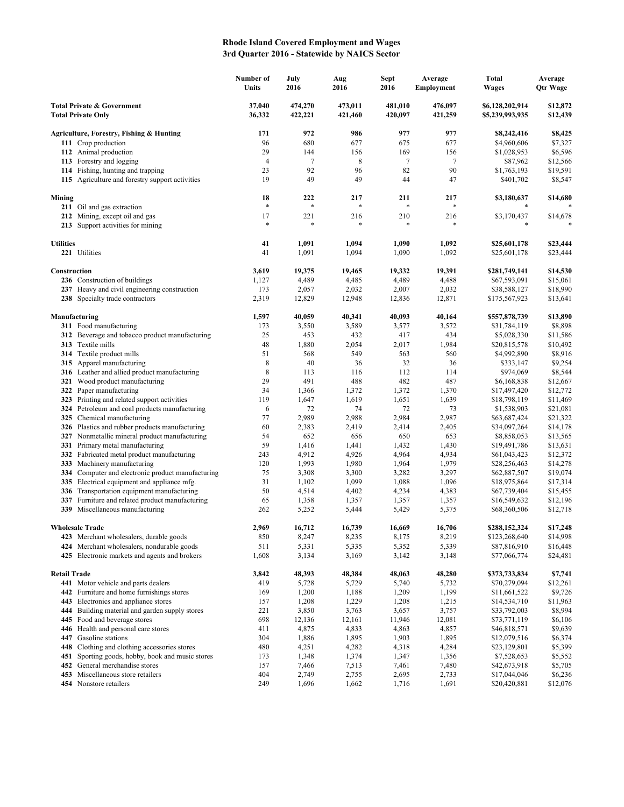## **Rhode Island Covered Employment and Wages 3rd Quarter 2016 - Statewide by NAICS Sector**

|                                                         |                                                                                                 | Number of<br>Units | July<br>2016       | Aug<br>2016        | ${\bf Sept}$<br>2016 | Average<br><b>Employment</b> | <b>Total</b><br><b>Wages</b>       | Average<br><b>Qtr Wage</b> |
|---------------------------------------------------------|-------------------------------------------------------------------------------------------------|--------------------|--------------------|--------------------|----------------------|------------------------------|------------------------------------|----------------------------|
| Total Private & Government<br><b>Total Private Only</b> |                                                                                                 | 37,040<br>36,332   | 474,270<br>422,221 | 473,011<br>421,460 | 481,010<br>420,097   | 476,097<br>421,259           | \$6,128,202,914<br>\$5,239,993,935 | \$12,872<br>\$12,439       |
|                                                         | Agriculture, Forestry, Fishing & Hunting                                                        | 171                | 972                | 986                | 977                  | 977                          | \$8,242,416                        | \$8,425                    |
|                                                         | 111 Crop production                                                                             | 96                 | 680                | 677                | 675                  | 677                          | \$4,960,606                        | \$7,327                    |
|                                                         | 112 Animal production                                                                           | 29                 | 144                | 156                | 169                  | 156                          | \$1,028,953                        | \$6,596                    |
|                                                         | 113 Forestry and logging                                                                        | $\overline{4}$     | $\tau$             | 8                  | 7                    | $\tau$                       | \$87,962                           | \$12,566                   |
|                                                         | 114 Fishing, hunting and trapping                                                               | 23                 | 92                 | 96                 | 82                   | 90                           | \$1,763,193                        | \$19,591                   |
|                                                         | 115 Agriculture and forestry support activities                                                 | 19                 | 49                 | 49                 | 44                   | 47                           | \$401,702                          | \$8,547                    |
| Mining                                                  |                                                                                                 | 18<br>$\ast$       | 222<br>$\ast$      | 217<br>*           | 211<br>$\ast$        | 217<br>$\ast$                | \$3,180,637                        | \$14,680                   |
|                                                         | 211 Oil and gas extraction                                                                      |                    |                    |                    |                      |                              |                                    |                            |
|                                                         | 212 Mining, except oil and gas<br>213 Support activities for mining                             | 17<br>*            | 221<br>*           | 216                | 210<br>$\ast$        | 216                          | \$3,170,437<br>*                   | \$14,678                   |
| <b>Utilities</b>                                        |                                                                                                 | 41                 | 1,091              | 1,094              | 1,090                | 1,092                        | \$25,601,178                       | \$23,444                   |
|                                                         | 221 Utilities                                                                                   | 41                 | 1,091              | 1,094              | 1,090                | 1,092                        | \$25,601,178                       | \$23,444                   |
| Construction                                            |                                                                                                 | 3,619              | 19,375             | 19,465             | 19,332               | 19,391                       | \$281,749,141                      | \$14,530                   |
|                                                         | 236 Construction of buildings                                                                   | 1,127              | 4,489              | 4,485              | 4,489                | 4,488                        | \$67,593,091                       | \$15,061                   |
|                                                         | 237 Heavy and civil engineering construction<br>238 Specialty trade contractors                 | 173<br>2,319       | 2,057<br>12,829    | 2,032<br>12,948    | 2,007<br>12,836      | 2,032<br>12,871              | \$38,588,127<br>\$175,567,923      | \$18,990<br>\$13,641       |
| Manufacturing                                           |                                                                                                 | 1,597              | 40,059             | 40,341             | 40,093               | 40,164                       | \$557,878,739                      | \$13,890                   |
|                                                         | 311 Food manufacturing                                                                          | 173                | 3,550              | 3,589              | 3,577                | 3,572                        | \$31,784,119                       | \$8,898                    |
|                                                         | 312 Beverage and tobacco product manufacturing                                                  | 25                 | 453                | 432                | 417                  | 434                          | \$5,028,330                        | \$11,586                   |
|                                                         | 313 Textile mills                                                                               | 48                 | 1,880              | 2,054              | 2,017                | 1,984                        | \$20,815,578                       | \$10,492                   |
|                                                         | 314 Textile product mills                                                                       | 51                 | 568                | 549                | 563                  | 560                          | \$4,992,890                        | \$8,916                    |
|                                                         | 315 Apparel manufacturing                                                                       | 8                  | 40                 | 36                 | 32                   | 36                           | \$333,147                          | \$9,254                    |
|                                                         | 316 Leather and allied product manufacturing                                                    | 8                  | 113                | 116                | 112                  | 114                          | \$974,069                          | \$8,544                    |
|                                                         | 321 Wood product manufacturing                                                                  | 29                 | 491                | 488                | 482                  | 487                          | \$6,168,838                        | \$12,667                   |
|                                                         | 322 Paper manufacturing                                                                         | 34                 | 1,366              | 1,372              | 1,372                | 1,370                        | \$17,497,420                       | \$12,772                   |
|                                                         | 323 Printing and related support activities                                                     | 119                | 1,647              | 1,619              | 1,651                | 1,639                        | \$18,798,119                       | \$11,469                   |
|                                                         | 324 Petroleum and coal products manufacturing                                                   | 6                  | 72                 | 74                 | 72                   | 73                           | \$1,538,903                        | \$21,081                   |
|                                                         | 325 Chemical manufacturing                                                                      | 77<br>60           | 2,989              | 2,988              | 2,984                | 2,987                        | \$63,687,424                       | \$21,322                   |
|                                                         | 326 Plastics and rubber products manufacturing<br>327 Nonmetallic mineral product manufacturing | 54                 | 2,383<br>652       | 2,419<br>656       | 2,414<br>650         | 2,405<br>653                 | \$34,097,264<br>\$8,858,053        | \$14,178<br>\$13,565       |
|                                                         | 331 Primary metal manufacturing                                                                 | 59                 | 1,416              | 1,441              | 1,432                | 1,430                        | \$19,491,786                       | \$13,631                   |
|                                                         | 332 Fabricated metal product manufacturing                                                      | 243                | 4,912              | 4,926              | 4,964                | 4,934                        | \$61,043,423                       | \$12,372                   |
|                                                         | 333 Machinery manufacturing                                                                     | 120                | 1,993              | 1,980              | 1,964                | 1,979                        | \$28,256,463                       | \$14,278                   |
|                                                         | 334 Computer and electronic product manufacturing                                               | 75                 | 3,308              | 3,300              | 3,282                | 3,297                        | \$62,887,507                       | \$19,074                   |
|                                                         | 335 Electrical equipment and appliance mfg.                                                     | 31                 | 1,102              | 1,099              | 1,088                | 1,096                        | \$18,975,864                       | \$17,314                   |
|                                                         | 336 Transportation equipment manufacturing                                                      | 50                 | 4,514              | 4,402              | 4,234                | 4,383                        | \$67,739,404                       | \$15,455                   |
| 337                                                     | Furniture and related product manufacturing                                                     | 65                 | 1,358              | 1,357              | 1,357                | 1,357                        | \$16,549,632                       | \$12,196                   |
|                                                         | 339 Miscellaneous manufacturing                                                                 | 262                | 5,252              | 5,444              | 5,429                | 5,375                        | \$68,360,506                       | \$12,718                   |
|                                                         | <b>Wholesale Trade</b>                                                                          | 2,969              | 16,712             | 16,739             | 16,669               | 16,706                       | \$288,152,324                      | \$17,248                   |
|                                                         | 423 Merchant wholesalers, durable goods                                                         | 850                | 8,247              | 8,235              | 8,175                | 8,219                        | \$123,268,640                      | \$14,998                   |
|                                                         | 424 Merchant wholesalers, nondurable goods<br>425 Electronic markets and agents and brokers     | 511<br>1,608       | 5,331<br>3,134     | 5,335<br>3,169     | 5,352<br>3,142       | 5,339<br>3,148               | \$87,816,910<br>\$77,066,774       | \$16,448<br>\$24,481       |
| <b>Retail Trade</b>                                     |                                                                                                 | 3,842              | 48,393             | 48,384             | 48,063               | 48,280                       | \$373,733,834                      | \$7,741                    |
|                                                         | 441 Motor vehicle and parts dealers                                                             | 419                | 5,728              | 5,729              | 5,740                | 5,732                        | \$70,279,094                       | \$12,261                   |
|                                                         | 442 Furniture and home furnishings stores                                                       | 169                | 1,200              | 1,188              | 1,209                | 1,199                        | \$11,661,522                       | \$9,726                    |
|                                                         | 443 Electronics and appliance stores                                                            | 157                | 1,208              | 1,229              | 1,208                | 1,215                        | \$14,534,710                       | \$11,963                   |
|                                                         | 444 Building material and garden supply stores                                                  | 221                | 3,850              | 3,763              | 3,657                | 3,757                        | \$33,792,003                       | \$8,994                    |
|                                                         | 445 Food and beverage stores                                                                    | 698                | 12,136             | 12,161             | 11,946               | 12,081                       | \$73,771,119                       | \$6,106                    |
|                                                         | 446 Health and personal care stores                                                             | 411                | 4,875              | 4,833              | 4,863                | 4,857                        | \$46,818,571                       | \$9,639                    |
|                                                         | 447 Gasoline stations                                                                           | 304                | 1,886              | 1,895              | 1,903                | 1,895                        | \$12,079,516                       | \$6,374                    |
|                                                         | 448 Clothing and clothing accessories stores                                                    | 480                | 4,251              | 4,282              | 4,318                | 4,284                        | \$23,129,801                       | \$5,399                    |
|                                                         | 451 Sporting goods, hobby, book and music stores                                                | 173                | 1,348              | 1,374              | 1,347                | 1,356                        | \$7,528,653                        | \$5,552                    |
| 452                                                     | General merchandise stores<br>453 Miscellaneous store retailers                                 | 157<br>404         | 7,466<br>2,749     | 7,513<br>2,755     | 7,461<br>2,695       | 7,480<br>2,733               | \$42,673,918                       | \$5,705<br>\$6,236         |
|                                                         | 454 Nonstore retailers                                                                          | 249                | 1,696              | 1,662              | 1,716                | 1,691                        | \$17,044,046<br>\$20,420,881       | \$12,076                   |
|                                                         |                                                                                                 |                    |                    |                    |                      |                              |                                    |                            |